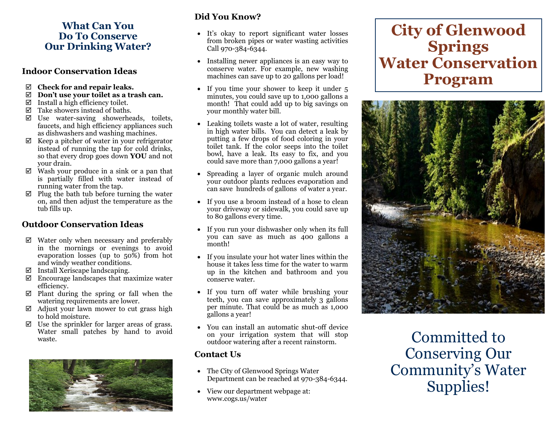# **What Can You Do To Conserve Our Drinking Water?**

## **Indoor Conservation Ideas**

- **Check for and repair leaks.**
- **Don't use your toilet as a trash can.**
- $\boxtimes$  Install a high efficiency toilet.
- $\boxtimes$  Take showers instead of baths.
- Use water-saving showerheads, toilets, faucets, and high efficiency appliances such as dishwashers and washing machines.
- $\boxtimes$  Keep a pitcher of water in your refrigerator instead of running the tap for cold drinks, so that every drop goes down **YOU** and not your drain.
- $\boxtimes$  Wash your produce in a sink or a pan that is partially filled with water instead of running water from the tap.
- $\boxtimes$  Plug the bath tub before turning the water on, and then adjust the temperature as the tub fills up.

# **Outdoor Conservation Ideas**

- $\boxtimes$  Water only when necessary and preferably in the mornings or evenings to avoid evaporation losses (up to 50%) from hot and windy weather conditions.
- $\boxtimes$  Install Xeriscape landscaping.
- $\boxtimes$  Encourage landscapes that maximize water efficiency.
- $\boxtimes$  Plant during the spring or fall when the watering requirements are lower.
- $\boxtimes$  Adjust your lawn mower to cut grass high to hold moisture.
- $\boxtimes$  Use the sprinkler for larger areas of grass. Water small patches by hand to avoid



# **Did You Know?**

- It's okay to report significant water losses from broken pipes or water wasting activities Call 970-384-6344.
- Installing newer appliances is an easy way to conserve water. For example, new washing machines can save up to 20 gallons per load!
- If you time your shower to keep it under 5 minutes, you could save up to 1,000 gallons a month! That could add up to big savings on your monthly water bill.
- Leaking toilets waste a lot of water, resulting in high water bills. You can detect a leak by putting a few drops of food coloring in your toilet tank. If the color seeps into the toilet bowl, have a leak. Its easy to fix, and you could save more than 7,000 gallons a year!
- Spreading a layer of organic mulch around your outdoor plants reduces evaporation and can save hundreds of gallons of water a year.
- If you use a broom instead of a hose to clean your driveway or sidewalk, you could save up to 80 gallons every time.
- If you run your dishwasher only when its full you can save as much as 400 gallons a month!
- If you insulate your hot water lines within the house it takes less time for the water to warm up in the kitchen and bathroom and you conserve water.
- If you turn off water while brushing your teeth, you can save approximately 3 gallons per minute. That could be as much as 1,000 gallons a year!
- waste. Committed to • You can install an automatic shut-off device on your irrigation system that will stop outdoor watering after a recent rainstorm.

# **Contact Us**

- The City of Glenwood Springs Water Department can be reached at 970-384-6344.
- View our department webpage at: www.cogs.us/water

# **City of Glenwood Springs Water Conservation Program**



Conserving Our Community's Water Supplies!